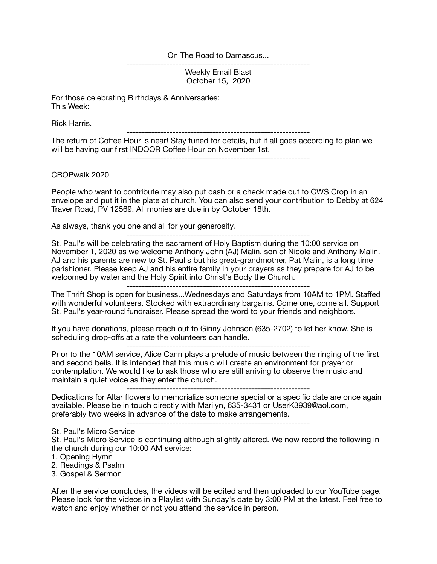On The Road to Damascus...

------------------------------------------------------------

Weekly Email Blast October 15, 2020

For those celebrating Birthdays & Anniversaries: This Week:

Rick Harris.

------------------------------------------------------------

The return of Coffee Hour is near! Stay tuned for details, but if all goes according to plan we will be having our first INDOOR Coffee Hour on November 1st.

------------------------------------------------------------

CROPwalk 2020

People who want to contribute may also put cash or a check made out to CWS Crop in an envelope and put it in the plate at church. You can also send your contribution to Debby at 624 Traver Road, PV 12569. All monies are due in by October 18th.

As always, thank you one and all for your generosity.

------------------------------------------------------------

St. Paul's will be celebrating the sacrament of Holy Baptism during the 10:00 service on November 1, 2020 as we welcome Anthony John (AJ) Malin, son of Nicole and Anthony Malin. AJ and his parents are new to St. Paul's but his great-grandmother, Pat Malin, is a long time parishioner. Please keep AJ and his entire family in your prayers as they prepare for AJ to be welcomed by water and the Holy Spirit into Christ's Body the Church.

------------------------------------------------------------

The Thrift Shop is open for business...Wednesdays and Saturdays from 10AM to 1PM. Staffed with wonderful volunteers. Stocked with extraordinary bargains. Come one, come all. Support St. Paul's year-round fundraiser. Please spread the word to your friends and neighbors.

If you have donations, please reach out to Ginny Johnson (635-2702) to let her know. She is scheduling drop-offs at a rate the volunteers can handle.

------------------------------------------------------------

Prior to the 10AM service, Alice Cann plays a prelude of music between the ringing of the first and second bells. It is intended that this music will create an environment for prayer or contemplation. We would like to ask those who are still arriving to observe the music and maintain a quiet voice as they enter the church.

------------------------------------------------------------

Dedications for Altar flowers to memorialize someone special or a specific date are once again available. Please be in touch directly with Marilyn, 635-3431 or UserK3939@aol.com, preferably two weeks in advance of the date to make arrangements.

------------------------------------------------------------

St. Paul's Micro Service

St. Paul's Micro Service is continuing although slightly altered. We now record the following in the church during our 10:00 AM service:

1. Opening Hymn

2. Readings & Psalm

3. Gospel & Sermon

After the service concludes, the videos will be edited and then uploaded to our YouTube page. Please look for the videos in a Playlist with Sunday's date by 3:00 PM at the latest. Feel free to watch and enjoy whether or not you attend the service in person.